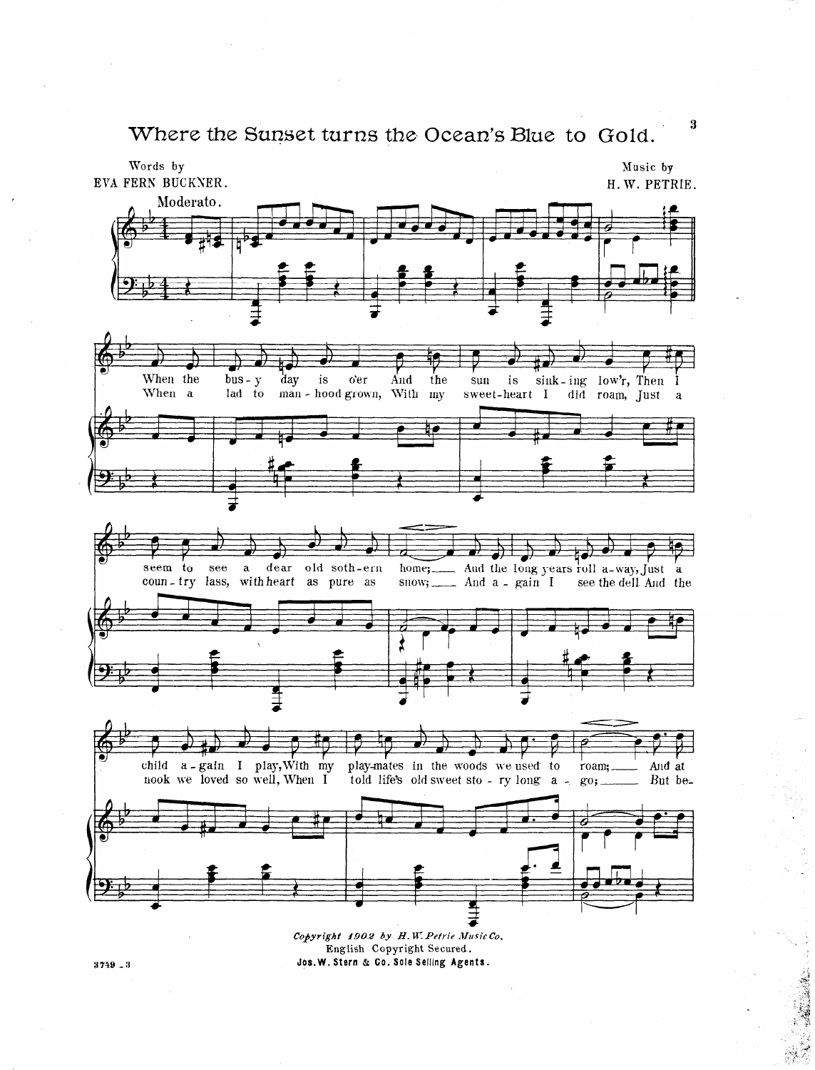Where the Sunset turns the Ocean's Blue to Gold.



Copyright 1902 by H.W. Petrie Music Co. English Copyright Secured. Jos. W. Stern & Co. Sole Selling Agents.

 $3\,749$   $\char`-3$ 

 $\bf{3}$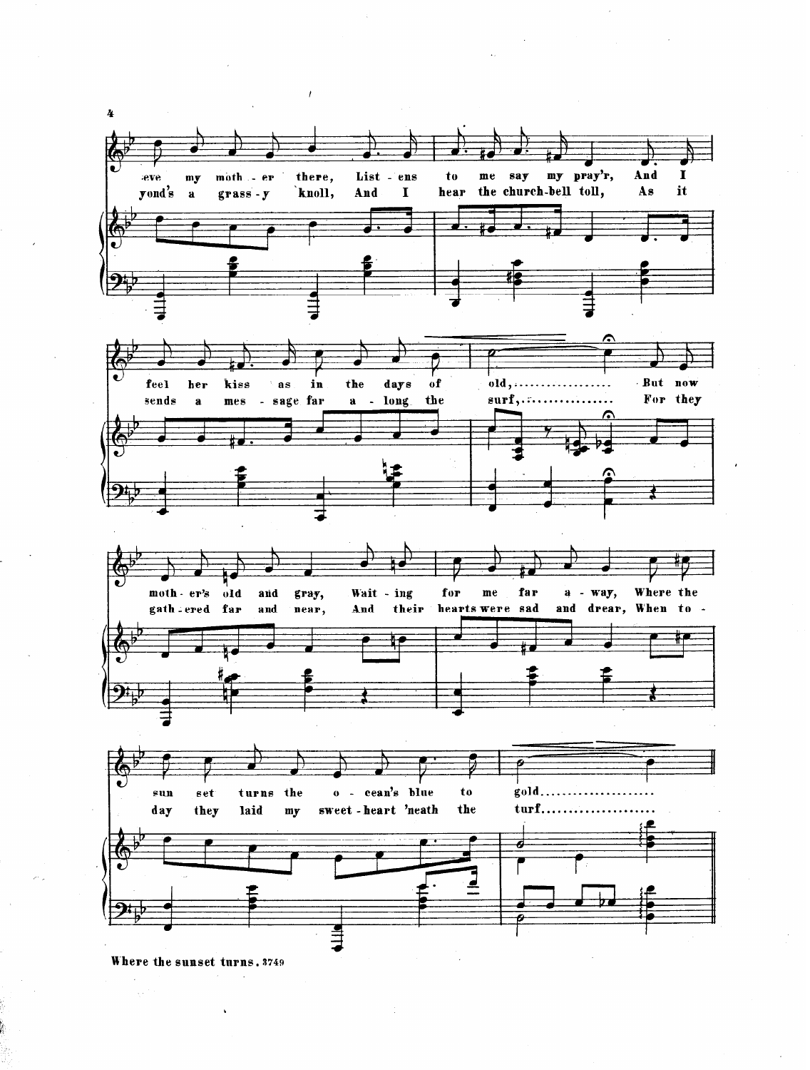